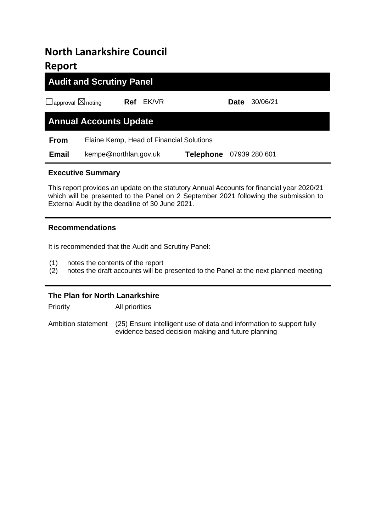# **North Lanarkshire Council Report**

# **Audit and Scrutiny Panel**

☐approval ☒noting **Ref** EK/VR **Date** 30/06/21

# **Annual Accounts Update**

**From** Elaine Kemp, Head of Financial Solutions

 **Email** kempe@northlan.gov.uk **Telephone** 07939 280 601

## **Executive Summary**

This report provides an update on the statutory Annual Accounts for financial year 2020/21 which will be presented to the Panel on 2 September 2021 following the submission to External Audit by the deadline of 30 June 2021.

#### **Recommendations**

It is recommended that the Audit and Scrutiny Panel:

- (1) notes the contents of the report
- (2) notes the draft accounts will be presented to the Panel at the next planned meeting

### **The Plan for North Lanarkshire**

Priority All priorities

Ambition statement (25) Ensure intelligent use of data and information to support fully evidence based decision making and future planning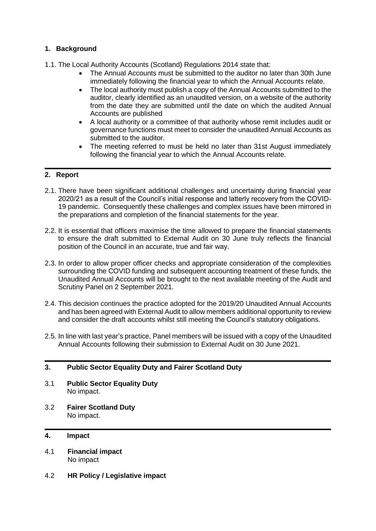#### **1. Background**

- 1.1. The Local Authority Accounts (Scotland) Regulations 2014 state that:
	- The Annual Accounts must be submitted to the auditor no later than 30th June immediately following the financial year to which the Annual Accounts relate.
	- The local authority must publish a copy of the Annual Accounts submitted to the auditor, clearly identified as an unaudited version, on a website of the authority from the date they are submitted until the date on which the audited Annual Accounts are published
	- A local authority or a committee of that authority whose remit includes audit or governance functions must meet to consider the unaudited Annual Accounts as submitted to the auditor.
	- The meeting referred to must be held no later than 31st August immediately following the financial year to which the Annual Accounts relate.

#### **2. Report**

- 2.1. There have been significant additional challenges and uncertainty during financial year 2020/21 as a result of the Council's initial response and latterly recovery from the COVID-19 pandemic. Consequently these challenges and complex issues have been mirrored in the preparations and completion of the financial statements for the year.
- 2.2. It is essential that officers maximise the time allowed to prepare the financial statements to ensure the draft submitted to External Audit on 30 June truly reflects the financial position of the Council in an accurate, true and fair way.
- 2.3. In order to allow proper officer checks and appropriate consideration of the complexities surrounding the COVID funding and subsequent accounting treatment of these funds, the Unaudited Annual Accounts will be brought to the next available meeting of the Audit and Scrutiny Panel on 2 September 2021.
- 2.4. This decision continues the practice adopted for the 2019/20 Unaudited Annual Accounts and has been agreed with External Audit to allow members additional opportunity to review and consider the draft accounts whilst still meeting the Council's statutory obligations.
- 2.5. In line with last year's practice, Panel members will be issued with a copy of the Unaudited Annual Accounts following their submission to External Audit on 30 June 2021.

#### **3. Public Sector Equality Duty and Fairer Scotland Duty**

- 3.1 **Public Sector Equality Duty** No impact.
- 3.2 **Fairer Scotland Duty** No impact.

#### **4. Impact**

- 4.1 **Financial impact** No impact
- 4.2 **HR Policy / Legislative impact**